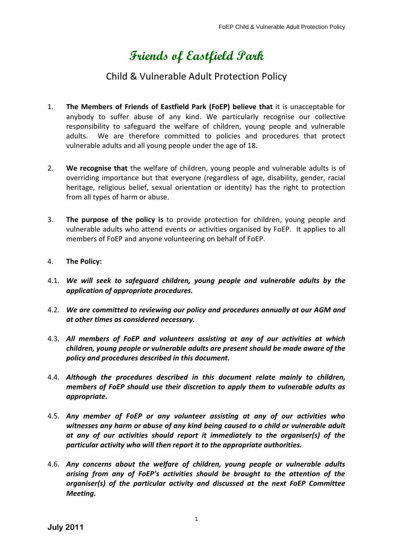# **Friends of Eastfield Park**

## Child & Vulnerable Adult Protection Policy

- 1. **The Members of Friends of Eastfield Park (FoEP) believe that** it is unacceptable for anybody to suffer abuse of any kind. We particularly recognise our collective responsibility to safeguard the welfare of children, young people and vulnerable adults. We are therefore committed to policies and procedures that protect vulnerable adults and all young people under the age of 18.
- 2. **We recognise that** the welfare of children, young people and vulnerable adults is of overriding importance but that everyone (regardless of age, disability, gender, racial heritage, religious belief, sexual orientation or identity) has the right to protection from all types of harm or abuse.
- 3. **The purpose of the policy is** to provide protection for children, young people and vulnerable adults who attend events or activities organised by FoEP. It applies to all members of FoEP and anyone volunteering on behalf of FoEP.
- 4. **The Policy:**
- 4.1. *We will seek to safeguard children, young people and vulnerable adults by the application of appropriate procedures.*
- 4.2. *We are committed to reviewing our policy and procedures annually at our AGM and at other times as considered necessary.*
- 4.3. *All members of FoEP and volunteers assisting at any of our activities at which children, young people or vulnerable adults are present should be made aware of the policy and procedures described in this document.*
- 4.4. *Although the procedures described in this document relate mainly to children, members of FoEP should use their discretion to apply them to vulnerable adults as appropriate.*
- 4.5. *Any member of FoEP or any volunteer assisting at any of our activities who witnesses any harm or abuse of any kind being caused to a child or vulnerable adult at any of our activities should report it immediately to the organiser(s) of the particular activity who will then report it to the appropriate authorities.*
- 4.6. *Any concerns about the welfare of children, young people or vulnerable adults arising from any of FoEP's activities should be brought to the attention of the organiser(s) of the particular activity and discussed at the next FoEP Committee Meeting.*